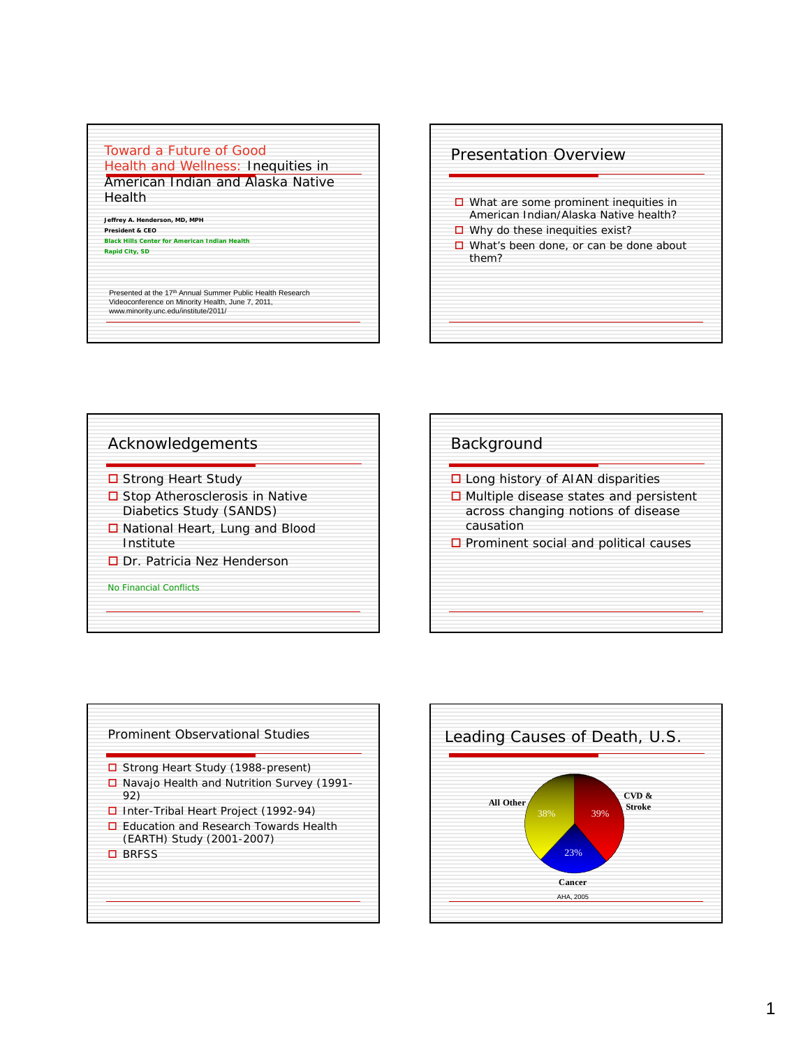## Toward a Future of Good Health and Wellness: Inequities in

American Indian and Alaska Native Health

**Jeffrey A. Henderson, MD, MPH President & CEO**

**Black Hills Center for American Indian Health Rapid City, SD** 

Presented at the 17<sup>th</sup> Annual Summer Public Health Research Videoconference on Minority Health, June 7, 2011, www.minority.unc.edu/institute/2011/









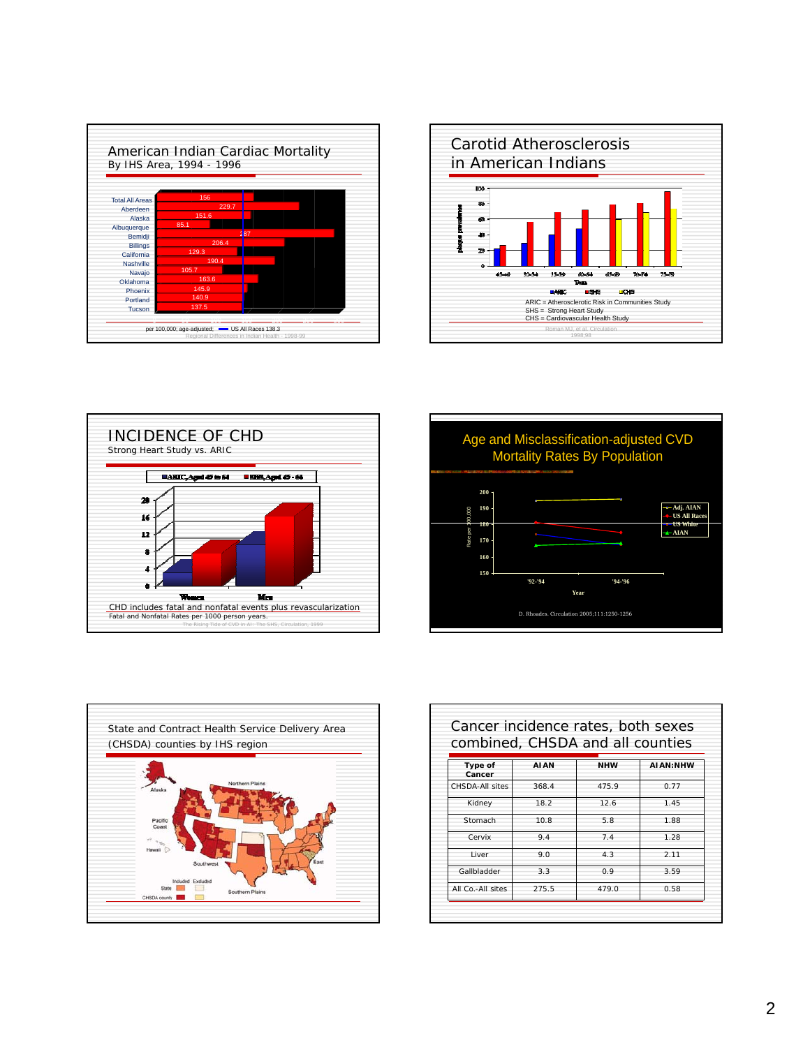|                        | By IHS Area, 1994 - 1996 | American Indian Cardiac Mortality |  |
|------------------------|--------------------------|-----------------------------------|--|
|                        |                          |                                   |  |
|                        |                          |                                   |  |
| <b>Total All Areas</b> | 156                      |                                   |  |
| Aberdeen               | 229.7                    |                                   |  |
| Alaska                 | 151.6                    |                                   |  |
| Albuquerque            | 85.1                     |                                   |  |
| Bemidji                |                          | 287                               |  |
| <b>Billings</b>        | 206.4                    |                                   |  |
| California             | 129.3                    |                                   |  |
| Nashville              | 190.4                    |                                   |  |
| Navajo                 | 105.7                    |                                   |  |
| Oklahoma               | 163.6                    |                                   |  |
| Phoenix                | 145.9                    |                                   |  |
| Portland               | 140.9                    |                                   |  |
| Tucson                 | 137.5                    |                                   |  |









|                   |             |            | combined, CHSDA and all counties |
|-------------------|-------------|------------|----------------------------------|
| Type of<br>Cancer | <b>AIAN</b> | <b>NHW</b> | ALAN:NHW                         |
| CHSDA-All sites   | 368.4       | 475.9      | 0.77                             |
| Kidney            | 18.2        | 12.6       | 1.45                             |
| Stomach           | 10.8        | 5.8        | 1.88                             |
| Cervix            | 9.4         | 7.4        | 1.28                             |
| I iver            | 9.0         | 4.3        | 2.11                             |
| Gallbladder       | 3.3         | 0.9        | 3.59                             |
| All Co.-All sites | 275.5       | 479.0      | 0.58                             |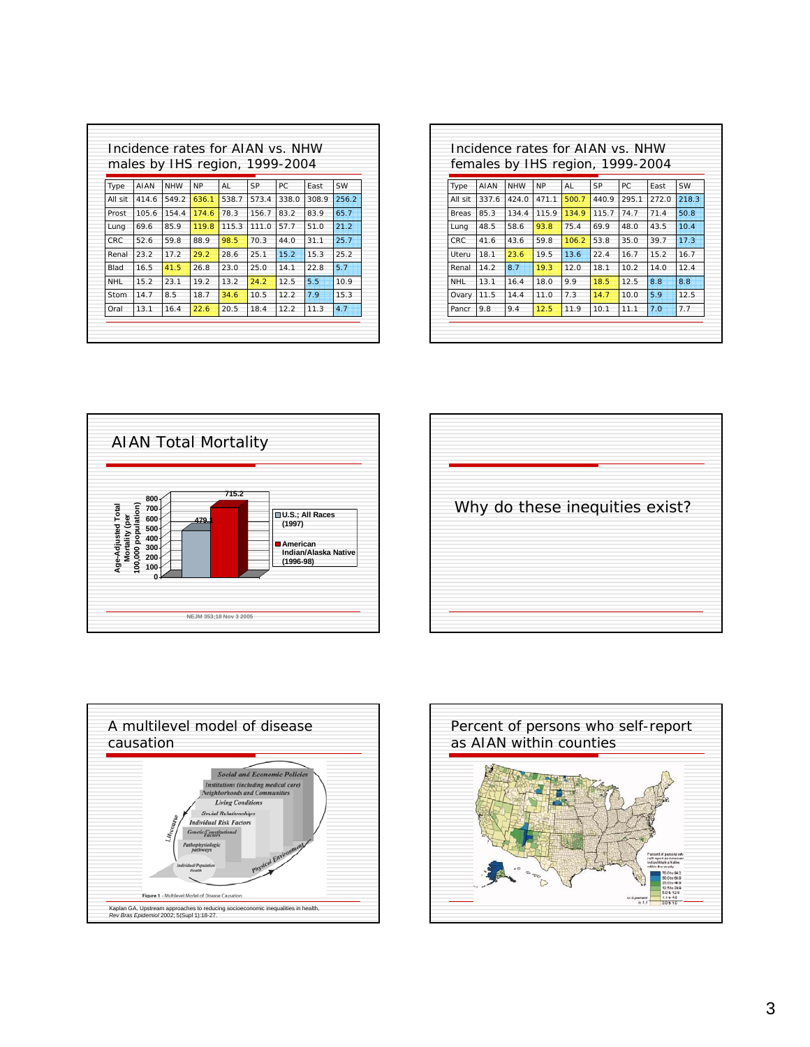|            |       |            |           |       | males by IHS region, 1999-2004 |       |       |       |
|------------|-------|------------|-----------|-------|--------------------------------|-------|-------|-------|
| Type       | AIAN  | <b>NHW</b> | <b>NP</b> | AI    | SP                             | PC.   | East  | SW    |
| All sit    | 414.6 | 549.2      | 636.1     | 538.7 | 573.4                          | 338.0 | 308.9 | 256.2 |
| Prost      | 105.6 | 154.4      | 174.6     | 78.3  | 156.7                          | 83.2  | 83.9  | 65.7  |
| Lung       | 69.6  | 85.9       | 119.8     | 115.3 | 111.0                          | 57.7  | 51.0  | 21.2  |
| CRC        | 52.6  | 59.8       | 88.9      | 98.5  | 70.3                           | 44.0  | 31.1  | 25.7  |
| Renal      | 23.2  | 17.2       | 29.2      | 28.6  | 25.1                           | 15.2  | 15.3  | 25.2  |
| Blad       | 16.5  | 41.5       | 26.8      | 23.0  | 25.0                           | 14.1  | 22.8  | 5.7   |
| <b>NHL</b> | 15.2  | 23.1       | 19.2      | 13.2  | 24.2                           | 12.5  | 5.5   | 10.9  |
| Stom       | 14.7  | 8.5        | 18.7      | 34.6  | 10.5                           | 12.2  | 7.9   | 15.3  |
| Oral       | 13.1  | 16.4       | 22.6      | 20.5  | 18.4                           | 12.2  | 11.3  | 4.7   |

|              |       |            |           | females by IHS region, 1999-2004 |       |       |       |       |
|--------------|-------|------------|-----------|----------------------------------|-------|-------|-------|-------|
| Type         | AIAN  | <b>NHW</b> | <b>NP</b> | AI                               | SP    | PC.   | East  | SW    |
| All sit      | 337.6 | 424.0      | 471.1     | 500.7                            | 440.9 | 295.1 | 272.0 | 218.3 |
| <b>Breas</b> | 85.3  | 134.4      | 115.9     | 134.9                            | 115.7 | 74.7  | 71.4  | 50.8  |
| Lung         | 48.5  | 58.6       | 93.8      | 75.4                             | 69.9  | 48.0  | 43.5  | 10.4  |
| CRC          | 41.6  | 43.6       | 59.8      | 106.2                            | 53.8  | 35.0  | 39.7  | 17.3  |
| Uteru        | 18.1  | 23.6       | 19.5      | 13.6                             | 22.4  | 16.7  | 15.2  | 16.7  |
| Renal        | 14.2  | 8.7        | 19.3      | 12.0                             | 18.1  | 10.2  | 14.0  | 12.4  |
| <b>NHL</b>   | 13.1  | 16.4       | 18.0      | 9.9                              | 18.5  | 12.5  | 8.8   | 8.8   |
| Ovary        | 11.5  | 14.4       | 11.0      | 7.3                              | 14.7  | 10.0  | 5.9   | 12.5  |
| Pancr        | 9.8   | 9.4        | 12.5      | 11.9                             | 10.1  | 11.1  | 7.0   | 7.7   |







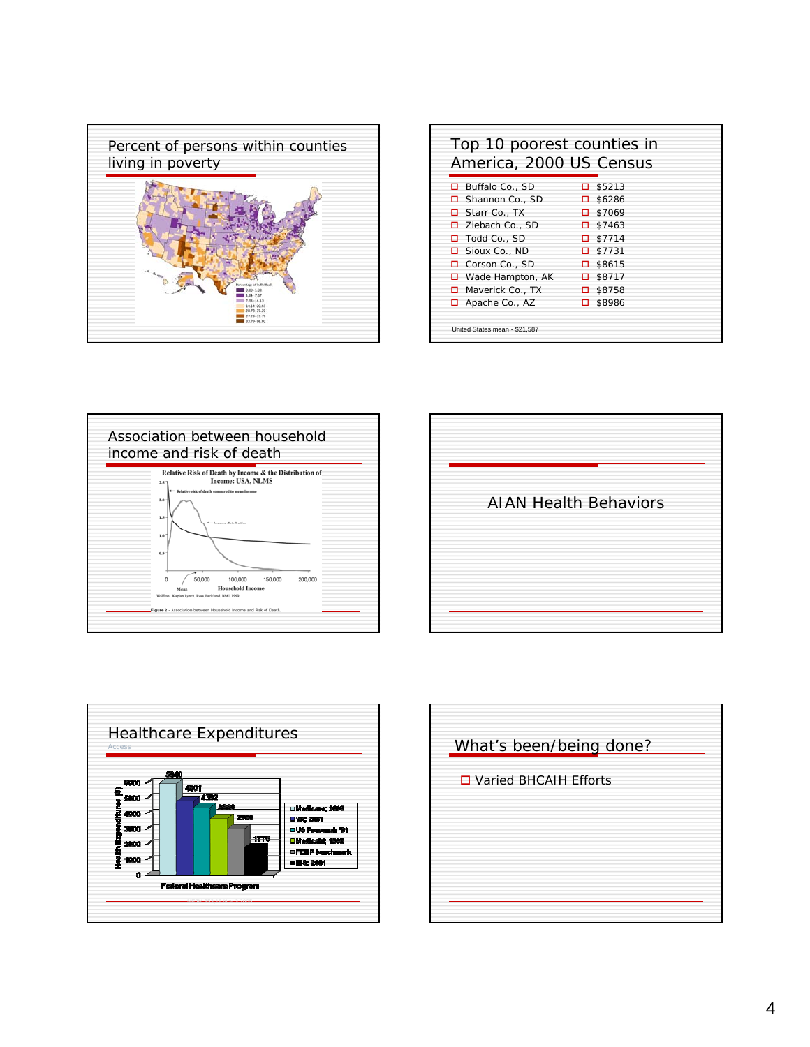

| America, 2000 US Census |                  |
|-------------------------|------------------|
| Buffalo Co., SD<br>п    | \$5213<br>п      |
| Shannon Co., SD<br>п    | \$6286<br>п      |
| □ Starr Co., TX         | \$7069<br>п.     |
| □ Ziebach Co., SD       | $\Box$ \$7463    |
| Todd Co., SD<br>п       | $\Box$ \$7714    |
| $\Box$ Sioux Co., ND    | $\Box$ \$7731    |
| Corson Co., SD<br>п     | $\square$ \$8615 |
| Wade Hampton, AK<br>□   | $\square$ \$8717 |
| $\Box$ Maverick Co., TX | $\square$ \$8758 |
| $\Box$ Apache Co., AZ   | □ \$8986         |







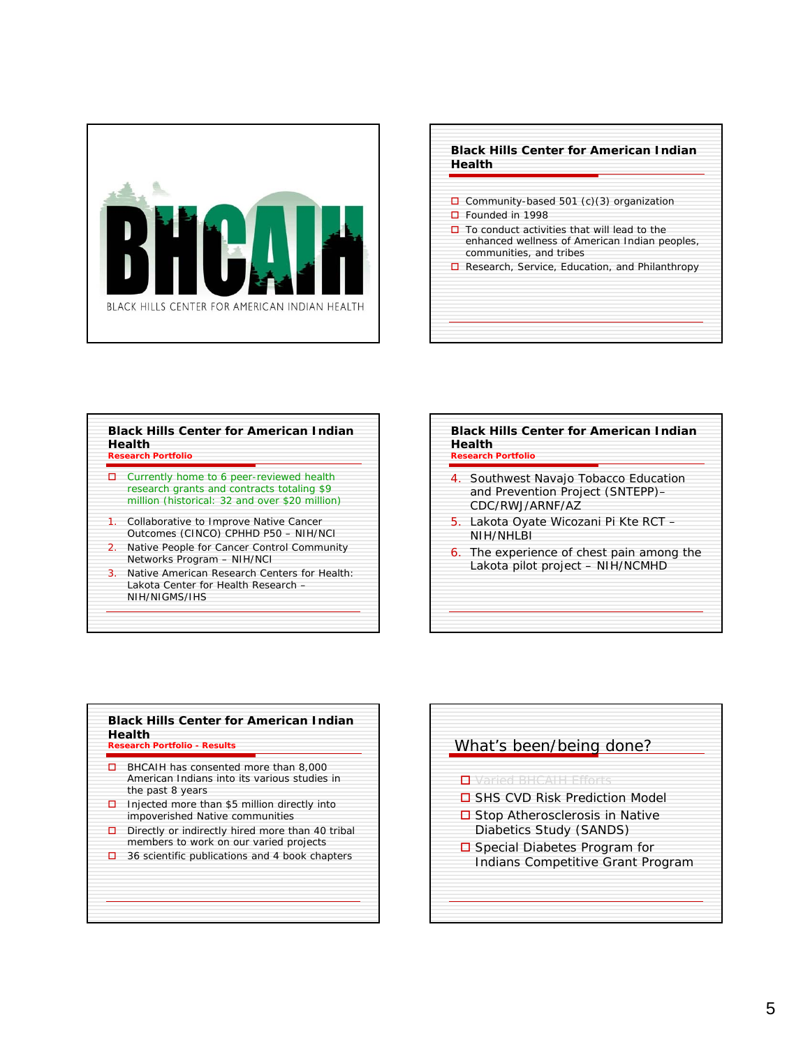





| 4. Southwest Navajo Tobacco Education<br>and Prevention Project (SNTEPP)-<br>CDC/RWJ/ARNE/AZ |
|----------------------------------------------------------------------------------------------|
| 5. Lakota Oyate Wicozani Pi Kte RCT<br>NIH/NHI BI                                            |
| 6. The experience of chest pain among the<br>Lakota pilot project - NIH/NCMHD                |

| п | BHCAIH has consented more than 8,000<br>American Indians into its various studies in<br>the past 8 years |
|---|----------------------------------------------------------------------------------------------------------|
| о | Injected more than \$5 million directly into<br>impoverished Native communities                          |
| □ | Directly or indirectly hired more than 40 tribal<br>members to work on our varied projects               |
| □ | 36 scientific publications and 4 book chapters                                                           |